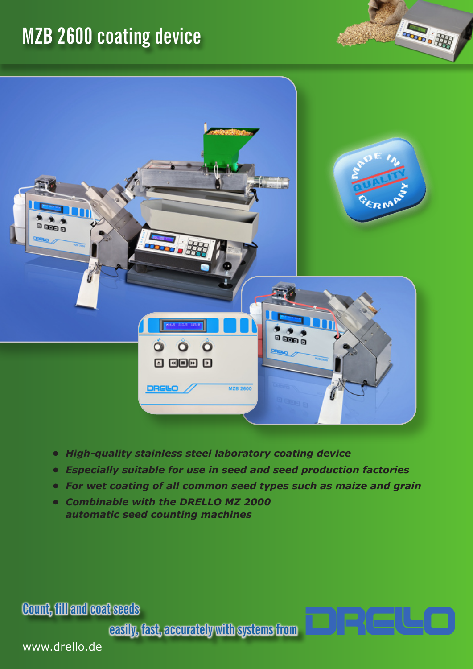# **MZB 2600 coating device**



**Room** of Hall

- *• High-quality stainless steel laboratory coating device*
- *• Especially suitable for use in seed and seed production factories*
- *• For wet coating of all common seed types such as maize and grain*

metet

*• Combinable with the DRELLO MZ 2000 automatic seed counting machines*

**Count, fill and coat seeds**

**easily, fast, accurately with systems from**

www.drello.de